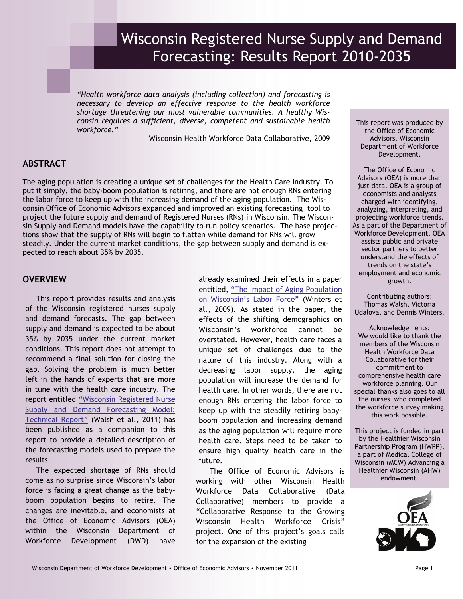# Wisconsin Registered Nurse Supply and Demand Forecasting: Results Report 2010-2035

*"Health workforce data analysis (including collection) and forecasting is necessary to develop an effective response to the health workforce shortage threatening our most vulnerable communities. A healthy Wisconsin requires a sufficient, diverse, competent and sustainable health workforce."* 

Wisconsin Health Workforce Data Collaborative, 2009

# **ABSTRACT**

The aging population is creating a unique set of challenges for the Health Care Industry. To put it simply, the baby-boom population is retiring, and there are not enough RNs entering the labor force to keep up with the increasing demand of the aging population. The Wisconsin Office of Economic Advisors expanded and improved an existing forecasting tool to project the future supply and demand of Registered Nurses (RNs) in Wisconsin. The Wisconsin Supply and Demand models have the capability to run policy scenarios. The base projections show that the supply of RNs will begin to flatten while demand for RNs will grow steadily. Under the current market conditions, the gap between supply and demand is expected to reach about 35% by 2035.

# **OVERVIEW**

This report provides results and analysis of the Wisconsin registered nurses supply and demand forecasts. The gap between supply and demand is expected to be about 35% by 2035 under the current market conditions. This report does not attempt to recommend a final solution for closing the gap. Solving the problem is much better left in the hands of experts that are more in tune with the health care industry. The report entitled ["Wisconsin Registered Nurse](http://dwd.wisconsin.gov/oea/rn_forecasting/Technical_Report.pdf)  [Supply and Demand Forecasting Model:](http://dwd.wisconsin.gov/oea/rn_forecasting/Technical_Report.pdf)  [Technical Report"](http://dwd.wisconsin.gov/oea/rn_forecasting/Technical_Report.pdf) (Walsh et al., 2011) has been published as a companion to this report to provide a detailed description of the forecasting models used to prepare the results.

The expected shortage of RNs should come as no surprise since Wisconsin's labor force is facing a great change as the babyboom population begins to retire. The changes are inevitable, and economists at the Office of Economic Advisors (OEA) within the Wisconsin Department of Workforce Development (DWD) have already examined their effects in a paper entitled, ["The Impact of Aging Population](http://dwd.wisconsin.gov/oea/contact_us/Dennis/impact_of_aging_population_paper.pdf)  [on Wisconsin's Labor Force"](http://dwd.wisconsin.gov/oea/contact_us/Dennis/impact_of_aging_population_paper.pdf) (Winters et al., 2009). As stated in the paper, the effects of the shifting demographics on Wisconsin's workforce cannot be overstated. However, health care faces a unique set of challenges due to the nature of this industry. Along with a decreasing labor supply, the aging population will increase the demand for health care. In other words, there are not enough RNs entering the labor force to keep up with the steadily retiring babyboom population and increasing demand as the aging population will require more health care. Steps need to be taken to ensure high quality health care in the future.

 The Office of Economic Advisors is working with other Wisconsin Health Workforce Data Collaborative (Data Collaborative) members to provide a "Collaborative Response to the Growing Wisconsin Health Workforce Crisis" project. One of this project's goals calls for the expansion of the existing

This report was produced by the Office of Economic Advisors, Wisconsin Department of Workforce Development.

The Office of Economic Advisors (OEA) is more than just data. OEA is a group of economists and analysts charged with identifying, analyzing, interpreting, and projecting workforce trends. As a part of the Department of Workforce Development, OEA assists public and private sector partners to better understand the effects of trends on the state's employment and economic growth.

Contributing authors: Thomas Walsh, Victoria Udalova, and Dennis Winters.

Acknowledgements: We would like to thank the members of the Wisconsin Health Workforce Data Collaborative for their commitment to comprehensive health care workforce planning. Our special thanks also goes to all the nurses who completed the workforce survey making this work possible.

This project is funded in part by the Healthier Wisconsin Partnership Program (HWPP), a part of Medical College of Wisconsin (MCW) Advancing a Healthier Wisconsin (AHW) endowment.

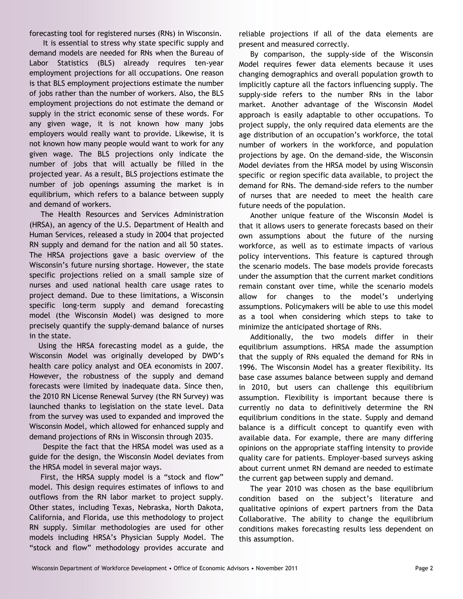forecasting tool for registered nurses (RNs) in Wisconsin.

 It is essential to stress why state specific supply and demand models are needed for RNs when the Bureau of Labor Statistics (BLS) already requires ten-year employment projections for all occupations. One reason is that BLS employment projections estimate the number of jobs rather than the number of workers. Also, the BLS employment projections do not estimate the demand or supply in the strict economic sense of these words. For any given wage, it is not known how many jobs employers would really want to provide. Likewise, it is not known how many people would want to work for any given wage. The BLS projections only indicate the number of jobs that will actually be filled in the projected year. As a result, BLS projections estimate the number of job openings assuming the market is in equilibrium, which refers to a balance between supply and demand of workers.

 The Health Resources and Services Administration (HRSA), an agency of the U.S. Department of Health and Human Services, released a study in 2004 that projected RN supply and demand for the nation and all 50 states. The HRSA projections gave a basic overview of the Wisconsin's future nursing shortage. However, the state specific projections relied on a small sample size of nurses and used national health care usage rates to project demand. Due to these limitations, a Wisconsin specific long-term supply and demand forecasting model (the Wisconsin Model) was designed to more precisely quantify the supply-demand balance of nurses in the state.

 Using the HRSA forecasting model as a guide, the Wisconsin Model was originally developed by DWD's health care policy analyst and OEA economists in 2007. However, the robustness of the supply and demand forecasts were limited by inadequate data. Since then, the 2010 RN License Renewal Survey (the RN Survey) was launched thanks to legislation on the state level. Data from the survey was used to expanded and improved the Wisconsin Model, which allowed for enhanced supply and demand projections of RNs in Wisconsin through 2035.

 Despite the fact that the HRSA model was used as a guide for the design, the Wisconsin Model deviates from the HRSA model in several major ways.

 First, the HRSA supply model is a "stock and flow" model. This design requires estimates of inflows to and outflows from the RN labor market to project supply. Other states, including Texas, Nebraska, North Dakota, California, and Florida, use this methodology to project RN supply. Similar methodologies are used for other models including HRSA's Physician Supply Model. The "stock and flow" methodology provides accurate and reliable projections if all of the data elements are present and measured correctly.

 By comparison, the supply-side of the Wisconsin Model requires fewer data elements because it uses changing demographics and overall population growth to implicitly capture all the factors influencing supply. The supply-side refers to the number RNs in the labor market. Another advantage of the Wisconsin Model approach is easily adaptable to other occupations. To project supply, the only required data elements are the age distribution of an occupation's workforce, the total number of workers in the workforce, and population projections by age. On the demand-side, the Wisconsin Model deviates from the HRSA model by using Wisconsin specific or region specific data available, to project the demand for RNs. The demand-side refers to the number of nurses that are needed to meet the health care future needs of the population.

 Another unique feature of the Wisconsin Model is that it allows users to generate forecasts based on their own assumptions about the future of the nursing workforce, as well as to estimate impacts of various policy interventions. This feature is captured through the scenario models. The base models provide forecasts under the assumption that the current market conditions remain constant over time, while the scenario models allow for changes to the model's underlying assumptions. Policymakers will be able to use this model as a tool when considering which steps to take to minimize the anticipated shortage of RNs.

 Additionally, the two models differ in their equilibrium assumptions. HRSA made the assumption that the supply of RNs equaled the demand for RNs in 1996. The Wisconsin Model has a greater flexibility. Its base case assumes balance between supply and demand in 2010, but users can challenge this equilibrium assumption. Flexibility is important because there is currently no data to definitively determine the RN equilibrium conditions in the state. Supply and demand balance is a difficult concept to quantify even with available data. For example, there are many differing opinions on the appropriate staffing intensity to provide quality care for patients. Employer-based surveys asking about current unmet RN demand are needed to estimate the current gap between supply and demand.

 The year 2010 was chosen as the base equilibrium condition based on the subject's literature and qualitative opinions of expert partners from the Data Collaborative. The ability to change the equilibrium conditions makes forecasting results less dependent on this assumption.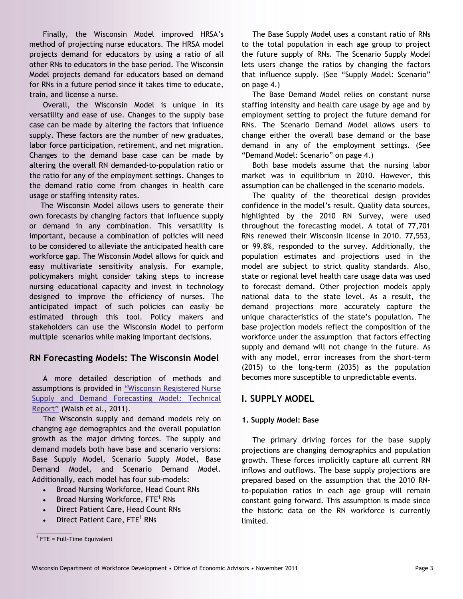Finally, the Wisconsin Model improved HRSA's method of projecting nurse educators. The HRSA model projects demand for educators by using a ratio of all other RNs to educators in the base period. The Wisconsin Model projects demand for educators based on demand for RNs in a future period since it takes time to educate, train, and license a nurse.

 Overall, the Wisconsin Model is unique in its versatility and ease of use. Changes to the supply base case can be made by altering the factors that influence supply. These factors are the number of new graduates, labor force participation, retirement, and net migration. Changes to the demand base case can be made by altering the overall RN demanded-to-population ratio or the ratio for any of the employment settings. Changes to the demand ratio come from changes in health care usage or staffing intensity rates.

 The Wisconsin Model allows users to generate their own forecasts by changing factors that influence supply or demand in any combination. This versatility is important, because a combination of policies will need to be considered to alleviate the anticipated health care workforce gap. The Wisconsin Model allows for quick and easy multivariate sensitivity analysis. For example, policymakers might consider taking steps to increase nursing educational capacity and invest in technology designed to improve the efficiency of nurses. The anticipated impact of such policies can easily be estimated through this tool. Policy makers and stakeholders can use the Wisconsin Model to perform multiple scenarios while making important decisions.

# **RN Forecasting Models: The Wisconsin Model**

A more detailed description of methods and assumptions is provided in ["Wisconsin Registered Nurse](http://dwd.wisconsin.gov/oea/rn_forecasting/Technical_Report.pdf)  [Supply and Demand Forecasting Model: Technical](http://dwd.wisconsin.gov/oea/rn_forecasting/Technical_Report.pdf)  [Report"](http://dwd.wisconsin.gov/oea/rn_forecasting/Technical_Report.pdf) (Walsh et al., 2011).

The Wisconsin supply and demand models rely on changing age demographics and the overall population growth as the major driving forces. The supply and demand models both have base and scenario versions: Base Supply Model, Scenario Supply Model, Base Demand Model, and Scenario Demand Model. Additionally, each model has four sub-models:

- Broad Nursing Workforce, Head Count RNs
- Broad Nursing Workforce,  $\mathsf{FTE}^1$  RNs
- Direct Patient Care, Head Count RNs
- Direct Patient Care, FTE<sup>1</sup> RNs

 $\frac{1}{2}$ 

The Base Supply Model uses a constant ratio of RNs to the total population in each age group to project the future supply of RNs. The Scenario Supply Model lets users change the ratios by changing the factors that influence supply. (See "Supply Model: Scenario" on page 4.)

The Base Demand Model relies on constant nurse staffing intensity and health care usage by age and by employment setting to project the future demand for RNs. The Scenario Demand Model allows users to change either the overall base demand or the base demand in any of the employment settings. (See "Demand Model: Scenario" on page 4.)

Both base models assume that the nursing labor market was in equilibrium in 2010. However, this assumption can be challenged in the scenario models.

The quality of the theoretical design provides confidence in the model's result. Quality data sources, highlighted by the 2010 RN Survey, were used throughout the forecasting model. A total of 77,701 RNs renewed their Wisconsin license in 2010. 77,553, or 99.8%, responded to the survey. Additionally, the population estimates and projections used in the model are subject to strict quality standards. Also, state or regional level health care usage data was used to forecast demand. Other projection models apply national data to the state level. As a result, the demand projections more accurately capture the unique characteristics of the state's population. The base projection models reflect the composition of the workforce under the assumption that factors effecting supply and demand will not change in the future. As with any model, error increases from the short-term (2015) to the long-term (2035) as the population becomes more susceptible to unpredictable events.

# **I. SUPPLY MODEL**

# **1. Supply Model: Base**

The primary driving forces for the base supply projections are changing demographics and population growth. These forces implicitly capture all current RN inflows and outflows. The base supply projections are prepared based on the assumption that the 2010 RNto-population ratios in each age group will remain constant going forward. This assumption is made since the historic data on the RN workforce is currently limited.

 $1$  FTE = Full-Time Equivalent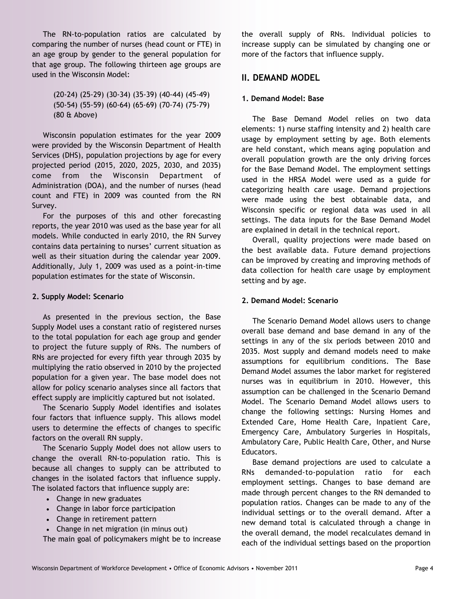The RN-to-population ratios are calculated by comparing the number of nurses (head count or FTE) in an age group by gender to the general population for that age group. The following thirteen age groups are used in the Wisconsin Model:

> (20-24) (25-29) (30-34) (35-39) (40-44) (45-49) (50-54) (55-59) (60-64) (65-69) (70-74) (75-79) (80 & Above)

Wisconsin population estimates for the year 2009 were provided by the Wisconsin Department of Health Services (DHS), population projections by age for every projected period (2015, 2020, 2025, 2030, and 2035) come from the Wisconsin Department of Administration (DOA), and the number of nurses (head count and FTE) in 2009 was counted from the RN Survey.

For the purposes of this and other forecasting reports, the year 2010 was used as the base year for all models. While conducted in early 2010, the RN Survey contains data pertaining to nurses' current situation as well as their situation during the calendar year 2009. Additionally, July 1, 2009 was used as a point-in-time population estimates for the state of Wisconsin.

## **2. Supply Model: Scenario**

As presented in the previous section, the Base Supply Model uses a constant ratio of registered nurses to the total population for each age group and gender to project the future supply of RNs. The numbers of RNs are projected for every fifth year through 2035 by multiplying the ratio observed in 2010 by the projected population for a given year. The base model does not allow for policy scenario analyses since all factors that effect supply are implicitly captured but not isolated.

The Scenario Supply Model identifies and isolates four factors that influence supply. This allows model users to determine the effects of changes to specific factors on the overall RN supply.

The Scenario Supply Model does not allow users to change the overall RN-to-population ratio. This is because all changes to supply can be attributed to changes in the isolated factors that influence supply. The isolated factors that influence supply are:

- Change in new graduates
- Change in labor force participation
- Change in retirement pattern
- Change in net migration (in minus out)

The main goal of policymakers might be to increase

the overall supply of RNs. Individual policies to increase supply can be simulated by changing one or more of the factors that influence supply.

# **II. DEMAND MODEL**

#### **1. Demand Model: Base**

The Base Demand Model relies on two data elements: 1) nurse staffing intensity and 2) health care usage by employment setting by age. Both elements are held constant, which means aging population and overall population growth are the only driving forces for the Base Demand Model. The employment settings used in the HRSA Model were used as a guide for categorizing health care usage. Demand projections were made using the best obtainable data, and Wisconsin specific or regional data was used in all settings. The data inputs for the Base Demand Model are explained in detail in the technical report.

Overall, quality projections were made based on the best available data. Future demand projections can be improved by creating and improving methods of data collection for health care usage by employment setting and by age.

## **2. Demand Model: Scenario**

The Scenario Demand Model allows users to change overall base demand and base demand in any of the settings in any of the six periods between 2010 and 2035. Most supply and demand models need to make assumptions for equilibrium conditions. The Base Demand Model assumes the labor market for registered nurses was in equilibrium in 2010. However, this assumption can be challenged in the Scenario Demand Model. The Scenario Demand Model allows users to change the following settings: Nursing Homes and Extended Care, Home Health Care, Inpatient Care, Emergency Care, Ambulatory Surgeries in Hospitals, Ambulatory Care, Public Health Care, Other, and Nurse Educators.

Base demand projections are used to calculate a RNs demanded-to-population ratio for each employment settings. Changes to base demand are made through percent changes to the RN demanded to population ratios. Changes can be made to any of the individual settings or to the overall demand. After a new demand total is calculated through a change in the overall demand, the model recalculates demand in each of the individual settings based on the proportion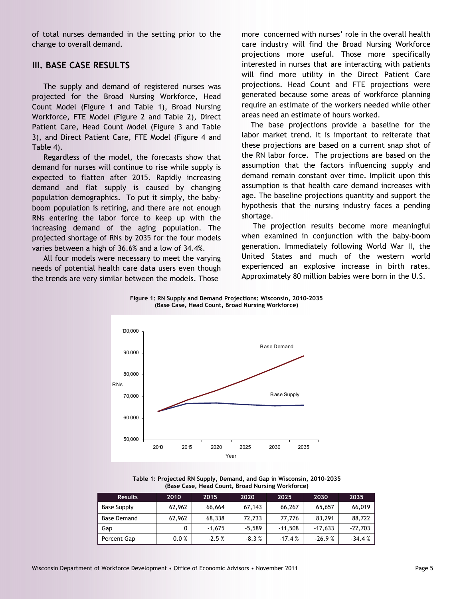of total nurses demanded in the setting prior to the change to overall demand.

# **III. BASE CASE RESULTS**

 The supply and demand of registered nurses was projected for the Broad Nursing Workforce, Head Count Model (Figure 1 and Table 1), Broad Nursing Workforce, FTE Model (Figure 2 and Table 2), Direct Patient Care, Head Count Model (Figure 3 and Table 3), and Direct Patient Care, FTE Model (Figure 4 and Table 4).

 Regardless of the model, the forecasts show that demand for nurses will continue to rise while supply is expected to flatten after 2015. Rapidly increasing demand and flat supply is caused by changing population demographics. To put it simply, the babyboom population is retiring, and there are not enough RNs entering the labor force to keep up with the increasing demand of the aging population. The projected shortage of RNs by 2035 for the four models varies between a high of 36.6% and a low of 34.4%.

 All four models were necessary to meet the varying needs of potential health care data users even though the trends are very similar between the models. Those

more concerned with nurses' role in the overall health care industry will find the Broad Nursing Workforce projections more useful. Those more specifically interested in nurses that are interacting with patients will find more utility in the Direct Patient Care projections. Head Count and FTE projections were generated because some areas of workforce planning require an estimate of the workers needed while other areas need an estimate of hours worked.

 The base projections provide a baseline for the labor market trend. It is important to reiterate that these projections are based on a current snap shot of the RN labor force. The projections are based on the assumption that the factors influencing supply and demand remain constant over time. Implicit upon this assumption is that health care demand increases with age. The baseline projections quantity and support the hypothesis that the nursing industry faces a pending shortage.

 The projection results become more meaningful when examined in conjunction with the baby-boom generation. Immediately following World War II, the United States and much of the western world experienced an explosive increase in birth rates. Approximately 80 million babies were born in the U.S.





**Table 1: Projected RN Supply, Demand, and Gap in Wisconsin, 2010-2035 (Base Case, Head Count, Broad Nursing Workforce)** 

| <b>Results</b>     | 2010   | 2015     | 2020     | 2025      | 2030      | 2035      |
|--------------------|--------|----------|----------|-----------|-----------|-----------|
| Base Supply        | 62,962 | 66,664   | 67,143   | 66,267    | 65,657    | 66,019    |
| <b>Base Demand</b> | 62,962 | 68,338   | 72,733   | 77,776    | 83,291    | 88,722    |
| Gap                | 0      | $-1.675$ | $-5.589$ | $-11,508$ | $-17,633$ | $-22,703$ |
| Percent Gap        | 0.0%   | $-2.5%$  | $-8.3%$  | $-17.4%$  | $-26.9%$  | $-34.4%$  |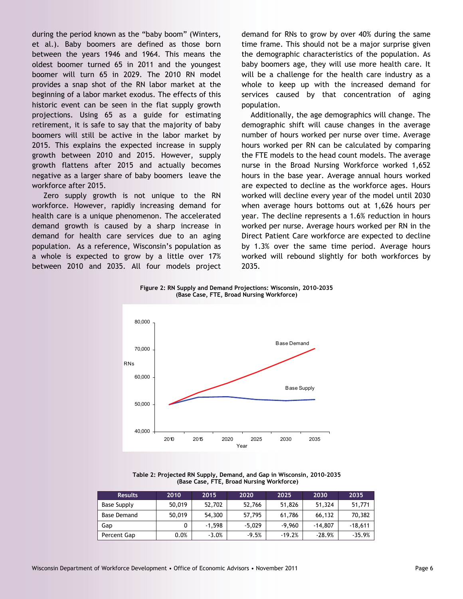during the period known as the "baby boom" (Winters, et al.). Baby boomers are defined as those born between the years 1946 and 1964. This means the oldest boomer turned 65 in 2011 and the youngest boomer will turn 65 in 2029. The 2010 RN model provides a snap shot of the RN labor market at the beginning of a labor market exodus. The effects of this historic event can be seen in the flat supply growth projections. Using 65 as a guide for estimating retirement, it is safe to say that the majority of baby boomers will still be active in the labor market by 2015. This explains the expected increase in supply growth between 2010 and 2015. However, supply growth flattens after 2015 and actually becomes negative as a larger share of baby boomers leave the workforce after 2015.

 Zero supply growth is not unique to the RN workforce. However, rapidly increasing demand for health care is a unique phenomenon. The accelerated demand growth is caused by a sharp increase in demand for health care services due to an aging population. As a reference, Wisconsin's population as a whole is expected to grow by a little over 17% between 2010 and 2035. All four models project

demand for RNs to grow by over 40% during the same time frame. This should not be a major surprise given the demographic characteristics of the population. As baby boomers age, they will use more health care. It will be a challenge for the health care industry as a whole to keep up with the increased demand for services caused by that concentration of aging population.

 Additionally, the age demographics will change. The demographic shift will cause changes in the average number of hours worked per nurse over time. Average hours worked per RN can be calculated by comparing the FTE models to the head count models. The average nurse in the Broad Nursing Workforce worked 1,652 hours in the base year. Average annual hours worked are expected to decline as the workforce ages. Hours worked will decline every year of the model until 2030 when average hours bottoms out at 1,626 hours per year. The decline represents a 1.6% reduction in hours worked per nurse. Average hours worked per RN in the Direct Patient Care workforce are expected to decline by 1.3% over the same time period. Average hours worked will rebound slightly for both workforces by 2035.

**Figure 2: RN Supply and Demand Projections: Wisconsin, 2010-2035 (Base Case, FTE, Broad Nursing Workforce)** 



**Table 2: Projected RN Supply, Demand, and Gap in Wisconsin, 2010-2035 (Base Case, FTE, Broad Nursing Workforce)** 

| <b>Results</b> | 2010   | 2015     | 2020     | 2025     | 2030      | 2035      |
|----------------|--------|----------|----------|----------|-----------|-----------|
| Base Supply    | 50,019 | 52,702   | 52,766   | 51,826   | 51,324    | 51,771    |
| Base Demand    | 50,019 | 54,300   | 57,795   | 61,786   | 66,132    | 70,382    |
| Gap            | 0      | $-1.598$ | $-5.029$ | $-9,960$ | $-14.807$ | $-18,611$ |
| Percent Gap    | 0.0%   | $-3.0%$  | $-9.5%$  | $-19.2%$ | $-28.9%$  | $-35.9%$  |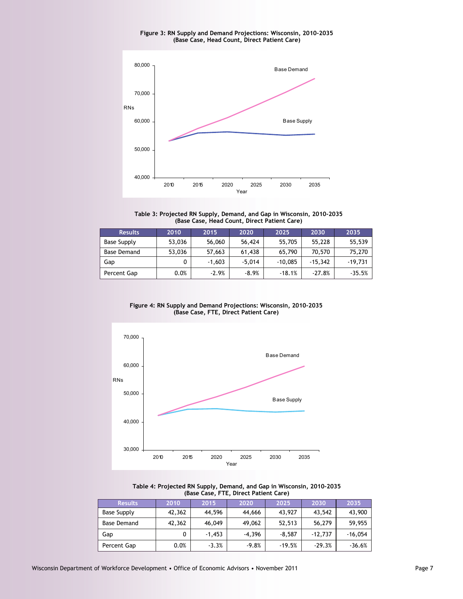**Figure 3: RN Supply and Demand Projections: Wisconsin, 2010-2035 (Base Case, Head Count, Direct Patient Care)** 



**Table 3: Projected RN Supply, Demand, and Gap in Wisconsin, 2010-2035 (Base Case, Head Count, Direct Patient Care)** 

| <b>Results</b> | 2010   | 2015     | 2020     | 2025      | 2030      | 2035      |
|----------------|--------|----------|----------|-----------|-----------|-----------|
| Base Supply    | 53,036 | 56,060   | 56,424   | 55,705    | 55,228    | 55,539    |
| Base Demand    | 53,036 | 57,663   | 61,438   | 65,790    | 70,570    | 75,270    |
| Gap            | 0      | $-1,603$ | $-5.014$ | $-10,085$ | $-15.342$ | $-19,731$ |
| Percent Gap    | 0.0%   | $-2.9%$  | $-8.9%$  | $-18.1%$  | $-27.8%$  | $-35.5%$  |

**Figure 4: RN Supply and Demand Projections: Wisconsin, 2010-2035 (Base Case, FTE, Direct Patient Care)** 





| <b>Results</b> | 2010   | 2015     | 2020     | 2025     | 2030      | 2035      |
|----------------|--------|----------|----------|----------|-----------|-----------|
| Base Supply    | 42,362 | 44,596   | 44,666   | 43,927   | 43.542    | 43,900    |
| Base Demand    | 42,362 | 46,049   | 49,062   | 52,513   | 56,279    | 59.955    |
| Gap            |        | $-1,453$ | $-4.396$ | $-8.587$ | $-12.737$ | $-16,054$ |
| Percent Gap    | 0.0%   | $-3.3%$  | $-9.8%$  | $-19.5%$ | $-29.3%$  | $-36.6%$  |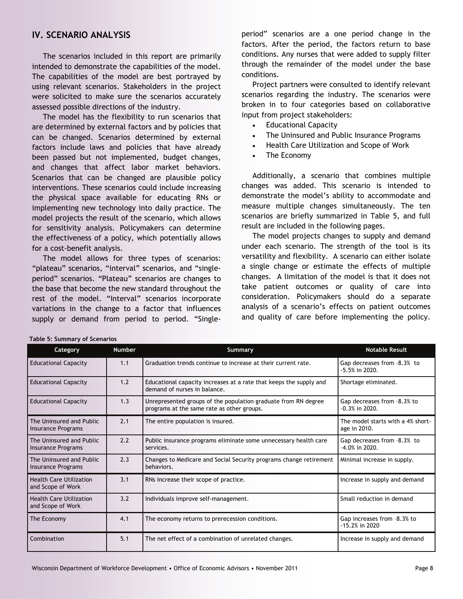# **IV. SCENARIO ANALYSIS**

The scenarios included in this report are primarily intended to demonstrate the capabilities of the model. The capabilities of the model are best portrayed by using relevant scenarios. Stakeholders in the project were solicited to make sure the scenarios accurately assessed possible directions of the industry.

The model has the flexibility to run scenarios that are determined by external factors and by policies that can be changed. Scenarios determined by external factors include laws and policies that have already been passed but not implemented, budget changes, and changes that affect labor market behaviors. Scenarios that can be changed are plausible policy interventions. These scenarios could include increasing the physical space available for educating RNs or implementing new technology into daily practice. The model projects the result of the scenario, which allows for sensitivity analysis. Policymakers can determine the effectiveness of a policy, which potentially allows for a cost-benefit analysis.

The model allows for three types of scenarios: "plateau" scenarios, "interval" scenarios, and "singleperiod" scenarios. "Plateau" scenarios are changes to the base that become the new standard throughout the rest of the model. "Interval" scenarios incorporate variations in the change to a factor that influences supply or demand from period to period. "Single-

period" scenarios are a one period change in the factors. After the period, the factors return to base conditions. Any nurses that were added to supply filter through the remainder of the model under the base conditions.

Project partners were consulted to identify relevant scenarios regarding the industry. The scenarios were broken in to four categories based on collaborative input from project stakeholders:

- Educational Capacity
- The Uninsured and Public Insurance Programs
- Health Care Utilization and Scope of Work
- The Economy

Additionally, a scenario that combines multiple changes was added. This scenario is intended to demonstrate the model's ability to accommodate and measure multiple changes simultaneously. The ten scenarios are briefly summarized in Table 5, and full result are included in the following pages.

The model projects changes to supply and demand under each scenario. The strength of the tool is its versatility and flexibility. A scenario can either isolate a single change or estimate the effects of multiple changes. A limitation of the model is that it does not take patient outcomes or quality of care into consideration. Policymakers should do a separate analysis of a scenario's effects on patient outcomes and quality of care before implementing the policy.

| Category                                            | <b>Number</b> | Summary                                                                                                      | <b>Notable Result</b>                             |
|-----------------------------------------------------|---------------|--------------------------------------------------------------------------------------------------------------|---------------------------------------------------|
| <b>Educational Capacity</b>                         | 1.1           | Graduation trends continue to increase at their current rate.                                                | Gap decreases from -8.3% to<br>$-5.5%$ in 2020.   |
| <b>Educational Capacity</b>                         | 1.2           | Educational capacity increases at a rate that keeps the supply and<br>demand of nurses in balance.           | Shortage eliminated.                              |
| <b>Educational Capacity</b>                         | 1.3           | Unrepresented groups of the population graduate from RN degree<br>programs at the same rate as other groups. | Gap decreases from -8.3% to<br>$-0.3\%$ in 2020.  |
| The Uninsured and Public<br>Insurance Programs      | 2.1           | The entire population is insured.                                                                            | The model starts with a 4% short-<br>age in 2010. |
| The Uninsured and Public<br>Insurance Programs      | 2.2           | Public insurance programs eliminate some unnecessary health care<br>services.                                | Gap decreases from -8.3% to<br>$-4.0\%$ in 2020.  |
| The Uninsured and Public<br>Insurance Programs      | 2.3           | Changes to Medicare and Social Security programs change retirement<br>behaviors.                             | Minimal increase in supply.                       |
| <b>Health Care Utilization</b><br>and Scope of Work | 3.1           | RNs increase their scope of practice.                                                                        | Increase in supply and demand                     |
| <b>Health Care Utilization</b><br>and Scope of Work | 3.2           | Individuals improve self-management.                                                                         | Small reduction in demand                         |
| The Economy                                         | 4.1           | The economy returns to prerecession conditions.                                                              | Gap increases from -8.3% to<br>$-15.2%$ in 2020   |
| <b>Combination</b>                                  | 5.1           | The net effect of a combination of unrelated changes.                                                        | Increase in supply and demand                     |

#### **Table 5: Summary of Scenarios**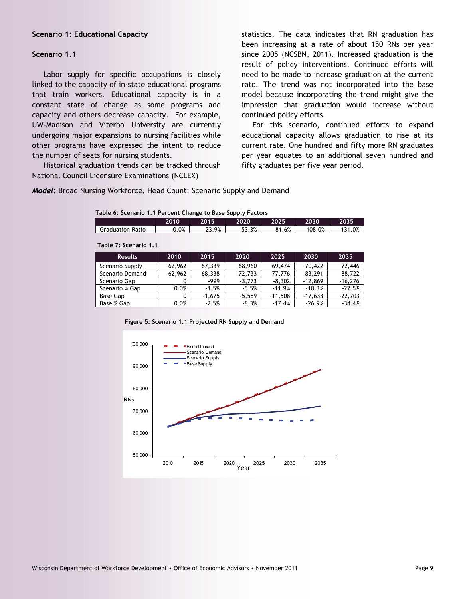#### **Scenario 1: Educational Capacity**

#### **Scenario 1.1**

 Labor supply for specific occupations is closely linked to the capacity of in-state educational programs that train workers. Educational capacity is in a constant state of change as some programs add capacity and others decrease capacity. For example, UW-Madison and Viterbo University are currently undergoing major expansions to nursing facilities while other programs have expressed the intent to reduce the number of seats for nursing students.

 Historical graduation trends can be tracked through National Council Licensure Examinations (NCLEX)

**Table 7: Scenario 1.1** 

statistics. The data indicates that RN graduation has been increasing at a rate of about 150 RNs per year since 2005 (NCSBN, 2011). Increased graduation is the result of policy interventions. Continued efforts will need to be made to increase graduation at the current rate. The trend was not incorporated into the base model because incorporating the trend might give the impression that graduation would increase without continued policy efforts.

For this scenario, continued efforts to expand educational capacity allows graduation to rise at its current rate. One hundred and fifty more RN graduates per year equates to an additional seven hundred and fifty graduates per five year period.

*Model***:** Broad Nursing Workforce, Head Count: Scenario Supply and Demand

| Table 6: Scenario 1.1 Percent Change to Base Supply Factors |  |  |  |
|-------------------------------------------------------------|--|--|--|
|                                                             |  |  |  |

|                         | 2010 | 2015       | 2020  | 2025                       | 2030   | 2035          |
|-------------------------|------|------------|-------|----------------------------|--------|---------------|
| <b>Graduation Ratio</b> | 0.0% | 23.9%<br>ົ | 53.3% | .6%<br>O <sub>4</sub><br>٥ | 108.0% | .0%<br>$\sim$ |
|                         |      |            |       |                            |        |               |

| $190007$ , $300010010$ |        |          |          |           |           |           |
|------------------------|--------|----------|----------|-----------|-----------|-----------|
| <b>Results</b>         | 2010   | 2015     | 2020     | 2025      | 2030      | 2035      |
| Scenario Supply        | 62,962 | 67,339   | 68,960   | 69,474    | 70,422    | 72,446    |
| Scenario Demand        | 62,962 | 68,338   | 72.733   | 77,776    | 83.291    | 88,722    |
| Scenario Gap           | 0      | -999     | $-3.773$ | $-8.302$  | $-12.869$ | $-16.276$ |
| Scenario % Gap         | 0.0%   | $-1.5%$  | $-5.5%$  | $-11.9%$  | $-18.3%$  | $-22.5%$  |
| Base Gap               | 0      | $-1.675$ | $-5.589$ | $-11.508$ | $-17.633$ | $-22,703$ |
| Base % Gap             | 0.0%   | $-2.5%$  | $-8.3%$  | $-17.4%$  | $-26.9%$  | $-34.4%$  |

**Figure 5: Scenario 1.1 Projected RN Supply and Demand** 

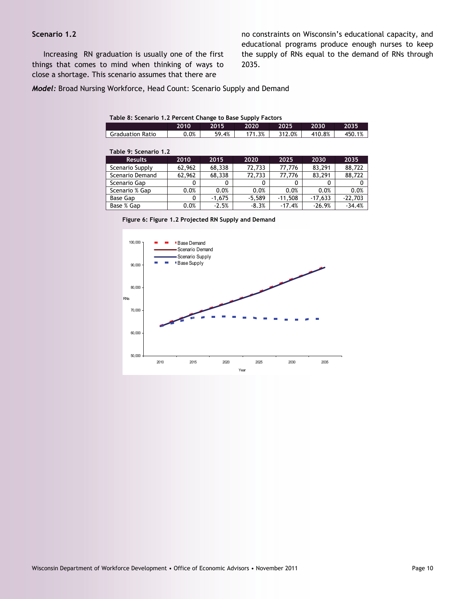# **Scenario 1.2**

 Increasing RN graduation is usually one of the first things that comes to mind when thinking of ways to close a shortage. This scenario assumes that there are

no constraints on Wisconsin's educational capacity, and educational programs produce enough nurses to keep the supply of RNs equal to the demand of RNs through 2035.

*Model:* Broad Nursing Workforce, Head Count: Scenario Supply and Demand

#### **Table 8: Scenario 1.2 Percent Change to Base Supply Factors**

|                         | 2010    | 2015  | 2020 | 2025   | 2030   | 2035       |
|-------------------------|---------|-------|------|--------|--------|------------|
| <b>Graduation Ratio</b> | $0.0\%$ | 59.4% | .3%  | 312.0% | 410.8% | 1%<br>450. |

| Table 9: Scenario 1.2 |        |          |          |           |           |           |  |
|-----------------------|--------|----------|----------|-----------|-----------|-----------|--|
| <b>Results</b>        | 2010   | 2015     | 2020     | 2025      | 2030      | 2035      |  |
| Scenario Supply       | 62,962 | 68,338   | 72,733   | 77.776    | 83.291    | 88,722    |  |
| Scenario Demand       | 62,962 | 68,338   | 72,733   | 77.776    | 83.291    | 88,722    |  |
| Scenario Gap          | 0      | 0        |          | 0         |           |           |  |
| Scenario % Gap        | 0.0%   | 0.0%     | 0.0%     | 0.0%      | 0.0%      | 0.0%      |  |
| Base Gap              | 0      | $-1.675$ | $-5.589$ | $-11,508$ | $-17,633$ | $-22,703$ |  |
| Base % Gap            | 0.0%   | $-2.5%$  | $-8.3%$  | $-17.4%$  | $-26.9%$  | $-34.4%$  |  |

**Figure 6: Figure 1.2 Projected RN Supply and Demand** 

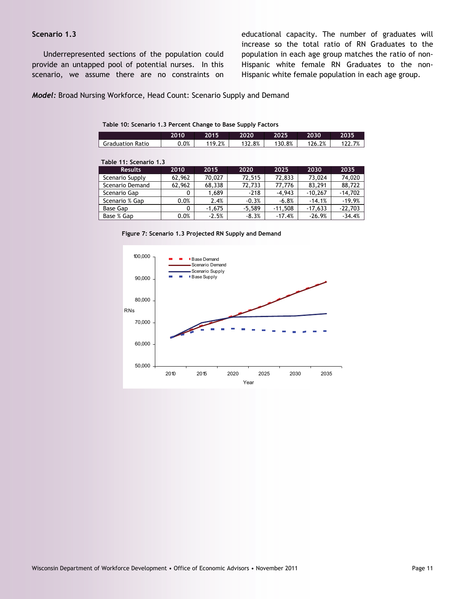# **Scenario 1.3**

 Underrepresented sections of the population could provide an untapped pool of potential nurses. In this scenario, we assume there are no constraints on educational capacity. The number of graduates will increase so the total ratio of RN Graduates to the population in each age group matches the ratio of non-Hispanic white female RN Graduates to the non-Hispanic white female population in each age group.

*Model:* Broad Nursing Workforce, Head Count: Scenario Supply and Demand

## **Table 10: Scenario 1.3 Percent Change to Base Supply Factors**

|                         | 2010     | 2015     | 2020     | 2025      | 2030      | 2035      |
|-------------------------|----------|----------|----------|-----------|-----------|-----------|
| <b>Graduation Ratio</b> | 0.0%     | 119.2%   | 132.8%   | 130.8%    | 126.2%    | 122.7%    |
|                         |          |          |          |           |           |           |
| Table 11: Scenario 1.3  |          |          |          |           |           |           |
| <b>Results</b>          | 2010     | 2015     | 2020     | 2025      | 2030      | 2035      |
| Scenario Supply         | 62,962   | 70.027   | 72,515   | 72,833    | 73,024    | 74,020    |
| Scenario Demand         | 62,962   | 68,338   | 72,733   | 77,776    | 83,291    | 88,722    |
| Scenario Gap            | 0        | 1,689    | $-218$   | $-4,943$  | $-10.267$ | $-14,702$ |
| Scenario % Gap          | 0.0%     | 2.4%     | $-0.3%$  | $-6.8%$   | $-14.1%$  | $-19.9%$  |
| Base Gap                | $\Omega$ | $-1.675$ | $-5.589$ | $-11.508$ | $-17,633$ | $-22,703$ |
| Base % Gap              | 0.0%     | $-2.5%$  | $-8.3%$  | $-17.4%$  | $-26.9%$  | $-34.4%$  |



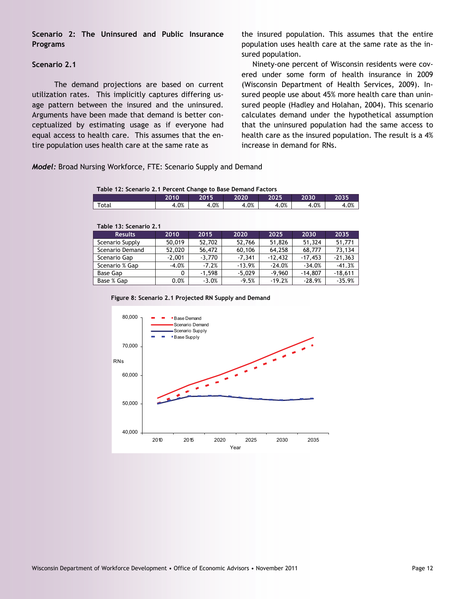**Scenario 2: The Uninsured and Public Insurance Programs** 

# **Scenario 2.1**

 The demand projections are based on current utilization rates. This implicitly captures differing usage pattern between the insured and the uninsured. Arguments have been made that demand is better conceptualized by estimating usage as if everyone had equal access to health care. This assumes that the entire population uses health care at the same rate as

the insured population. This assumes that the entire population uses health care at the same rate as the insured population.

Ninety-one percent of Wisconsin residents were covered under some form of health insurance in 2009 (Wisconsin Department of Health Services, 2009). Insured people use about 45% more health care than uninsured people (Hadley and Holahan, 2004). This scenario calculates demand under the hypothetical assumption that the uninsured population had the same access to health care as the insured population. The result is a 4% increase in demand for RNs.

*Model:* Broad Nursing Workforce, FTE: Scenario Supply and Demand

| Table 12: Scenario 2.1 Percent Change to Base Demand Factors |      |      |      |      |      |      |
|--------------------------------------------------------------|------|------|------|------|------|------|
| 2010<br>2030<br>2035<br>2020<br>2025<br>2015                 |      |      |      |      |      |      |
| Total                                                        | 4.0% | 4.0% | 4.0% | 4.0% | 4.0% | 4.0% |

| Table 13: Scenario 2.1 |          |          |          |           |           |           |  |  |  |  |
|------------------------|----------|----------|----------|-----------|-----------|-----------|--|--|--|--|
| <b>Results</b>         | 2010     | 2015     | 2020     | 2025      | 2030      | 2035      |  |  |  |  |
| Scenario Supply        | 50,019   | 52,702   | 52,766   | 51,826    | 51,324    | 51,771    |  |  |  |  |
| Scenario Demand        | 52,020   | 56,472   | 60,106   | 64,258    | 68,777    | 73,134    |  |  |  |  |
| Scenario Gap           | $-2,001$ | $-3.770$ | $-7.341$ | $-12,432$ | $-17.453$ | $-21,363$ |  |  |  |  |
| Scenario % Gap         | $-4.0%$  | $-7.2%$  | $-13.9%$ | $-24.0%$  | $-34.0%$  | $-41.3%$  |  |  |  |  |
| Base Gap               | 0        | $-1.598$ | $-5.029$ | $-9.960$  | $-14,807$ | $-18,611$ |  |  |  |  |
| Base % Gap             | 0.0%     | $-3.0%$  | $-9.5%$  | $-19.2%$  | $-28.9%$  | $-35.9%$  |  |  |  |  |

**Figure 8: Scenario 2.1 Projected RN Supply and Demand** 

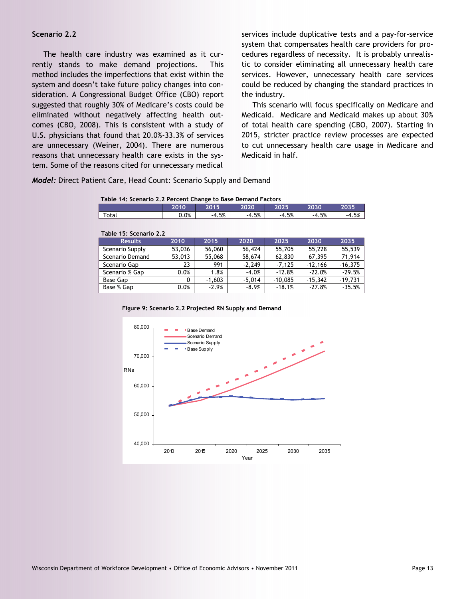#### **Scenario 2.2**

 The health care industry was examined as it currently stands to make demand projections. This method includes the imperfections that exist within the system and doesn't take future policy changes into consideration. A Congressional Budget Office (CBO) report suggested that roughly 30% of Medicare's costs could be eliminated without negatively affecting health outcomes (CBO, 2008). This is consistent with a study of U.S. physicians that found that 20.0%-33.3% of services are unnecessary (Weiner, 2004). There are numerous reasons that unnecessary health care exists in the system. Some of the reasons cited for unnecessary medical services include duplicative tests and a pay-for-service system that compensates health care providers for procedures regardless of necessity. It is probably unrealistic to consider eliminating all unnecessary health care services. However, unnecessary health care services could be reduced by changing the standard practices in the industry.

This scenario will focus specifically on Medicare and Medicaid. Medicare and Medicaid makes up about 30% of total health care spending (CBO, 2007). Starting in 2015, stricter practice review processes are expected to cut unnecessary health care usage in Medicare and Medicaid in half.

*Model:* Direct Patient Care, Head Count: Scenario Supply and Demand

| Table 14: Scenario 2.2 Percent Change to Base Demand Factors |      |         |         |         |         |         |  |  |  |  |
|--------------------------------------------------------------|------|---------|---------|---------|---------|---------|--|--|--|--|
|                                                              | 2010 | 2015    | 2020    | 2025    | 2030    | 2035    |  |  |  |  |
| Total                                                        | 0.0% | $-4.5%$ | $-4.5%$ | $-4.5%$ | $-4.5%$ | $-4.5%$ |  |  |  |  |
|                                                              |      |         |         |         |         |         |  |  |  |  |

| Table 15: Scenario 2.2 |        |          |          |           |           |           |  |  |  |  |
|------------------------|--------|----------|----------|-----------|-----------|-----------|--|--|--|--|
| <b>Results</b>         | 2010   | 2015     | 2020     | 2025      | 2030      | 2035      |  |  |  |  |
| Scenario Supply        | 53,036 | 56,060   | 56,424   | 55,705    | 55,228    | 55,539    |  |  |  |  |
| Scenario Demand        | 53,013 | 55,068   | 58.674   | 62,830    | 67.395    | 71.914    |  |  |  |  |
| Scenario Gap           | 23     | 991      | $-2.249$ | $-7.125$  | $-12,166$ | $-16,375$ |  |  |  |  |
| Scenario % Gap         | 0.0%   | 1.8%     | $-4.0%$  | $-12.8%$  | $-22.0%$  | $-29.5%$  |  |  |  |  |
| <b>Base Gap</b>        | 0      | $-1.603$ | $-5.014$ | $-10.085$ | $-15.342$ | $-19,731$ |  |  |  |  |
| Base % Gap             | 0.0%   | $-2.9%$  | $-8.9%$  | $-18.1%$  | $-27.8%$  | $-35.5%$  |  |  |  |  |

|  | Figure 9: Scenario 2.2 Projected RN Supply and Demand |
|--|-------------------------------------------------------|
|--|-------------------------------------------------------|

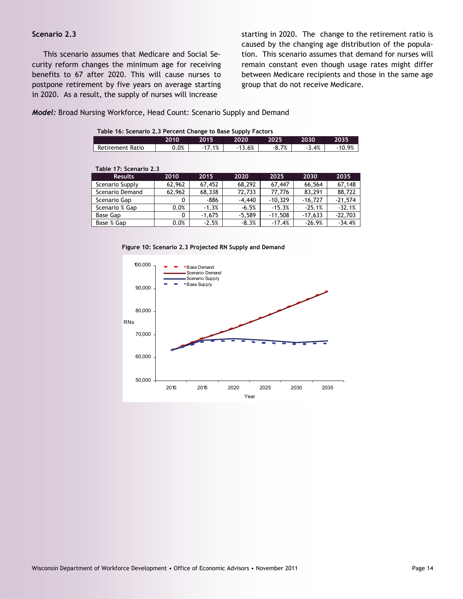# **Scenario 2.3**

 This scenario assumes that Medicare and Social Security reform changes the minimum age for receiving benefits to 67 after 2020. This will cause nurses to postpone retirement by five years on average starting in 2020. As a result, the supply of nurses will increase

starting in 2020. The change to the retirement ratio is caused by the changing age distribution of the population. This scenario assumes that demand for nurses will remain constant even though usage rates might differ between Medicare recipients and those in the same age group that do not receive Medicare.

# *Model:* Broad Nursing Workforce, Head Count: Scenario Supply and Demand

|  |  |  | Table 16: Scenario 2.3 Percent Change to Base Supply Factors |  |
|--|--|--|--------------------------------------------------------------|--|
|  |  |  |                                                              |  |

|                  | 2010'   | 2015 | 2020  | 2025       | 2030 | 2035     |
|------------------|---------|------|-------|------------|------|----------|
| Retirement Ratio | $0.0\%$ | 1%   | 13.6% | 7%<br>-0.7 | 3.4% | $10.9\%$ |

| Table 17: Scenario 2.3 |        |          |          |           |           |           |
|------------------------|--------|----------|----------|-----------|-----------|-----------|
| <b>Results</b>         | 2010   | 2015     | 2020     | 2025      | 2030      | 2035      |
| Scenario Supply        | 62,962 | 67,452   | 68,292   | 67,447    | 66,564    | 67,148    |
| Scenario Demand        | 62,962 | 68,338   | 72.733   | 77.776    | 83.291    | 88.722    |
| Scenario Gap           | 0      | -886     | $-4,440$ | $-10.329$ | $-16.727$ | $-21,574$ |
| Scenario % Gap         | 0.0%   | $-1.3%$  | $-6.5%$  | $-15.3%$  | $-25.1%$  | $-32.1%$  |
| Base Gap               | 0      | $-1.675$ | $-5.589$ | $-11.508$ | $-17.633$ | $-22.703$ |
| Base % Gap             | 0.0%   | $-2.5%$  | $-8.3%$  | $-17.4%$  | $-26.9%$  | $-34.4%$  |

#### **Figure 10: Scenario 2.3 Projected RN Supply and Demand**

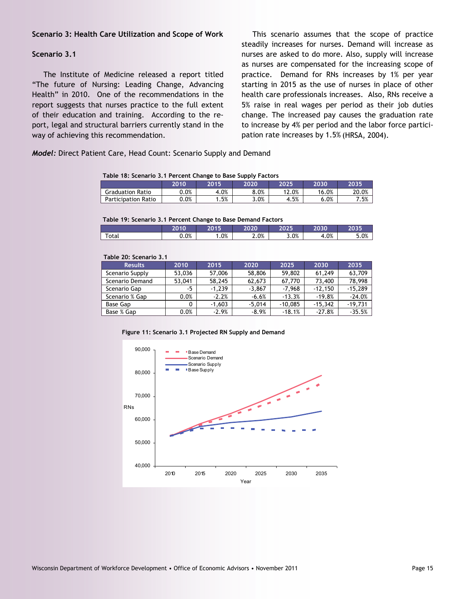## **Scenario 3: Health Care Utilization and Scope of Work**

#### **Scenario 3.1**

 The Institute of Medicine released a report titled "The future of Nursing: Leading Change, Advancing Health" in 2010. One of the recommendations in the report suggests that nurses practice to the full extent of their education and training. According to the report, legal and structural barriers currently stand in the way of achieving this recommendation.

This scenario assumes that the scope of practice steadily increases for nurses. Demand will increase as nurses are asked to do more. Also, supply will increase as nurses are compensated for the increasing scope of practice. Demand for RNs increases by 1% per year starting in 2015 as the use of nurses in place of other health care professionals increases. Also, RNs receive a 5% raise in real wages per period as their job duties change. The increased pay causes the graduation rate to increase by 4% per period and the labor force participation rate increases by 1.5% (HRSA, 2004).

*Model:* Direct Patient Care, Head Count: Scenario Supply and Demand

**Table 18: Scenario 3.1 Percent Change to Base Supply Factors** 

| ---------                  |         |      |      |       |       |       |  |  |  |  |
|----------------------------|---------|------|------|-------|-------|-------|--|--|--|--|
|                            | 2010    | 2015 | 2020 | 2025  | 2030  | 2035  |  |  |  |  |
| <b>Graduation Ratio</b>    | 0.0%    | 4.0% | 8.0% | 12.0% | 16.0% | 20.0% |  |  |  |  |
| <b>Participation Ratio</b> | $0.0\%$ | .5%  | 3.0% | 4.5%  | 6.0%  | 7.5%  |  |  |  |  |

#### **Table 19: Scenario 3.1 Percent Change to Base Demand Factors**

|             |      | .      |      |       |      |      |
|-------------|------|--------|------|-------|------|------|
|             | 2010 | 204E   | 2020 | י המל | 2030 | 2035 |
| $\tau$ otal | 0.0% | $.0\%$ | 2.0% | 3.0%  | 4.0% | 5.0% |
|             |      |        |      |       |      |      |

#### **Table 20: Scenario 3.1**

| <b>Results</b>  | 2010   | 2015     | 2020     | 2025      | 2030      | 2035      |
|-----------------|--------|----------|----------|-----------|-----------|-----------|
| Scenario Supply | 53,036 | 57,006   | 58,806   | 59,802    | 61,249    | 63,709    |
| Scenario Demand | 53,041 | 58,245   | 62.673   | 67.770    | 73,400    | 78.998    |
| Scenario Gap    | -5     | $-1.239$ | $-3.867$ | $-7.968$  | $-12.150$ | $-15,289$ |
| Scenario % Gap  | 0.0%   | $-2.2%$  | $-6.6%$  | $-13.3%$  | $-19.8%$  | $-24.0%$  |
| Base Gap        | 0      | $-1.603$ | $-5.014$ | $-10.085$ | $-15.342$ | $-19.731$ |
| Base % Gap      | 0.0%   | $-2.9%$  | $-8.9%$  | $-18.1%$  | $-27.8%$  | $-35.5%$  |

**Figure 11: Scenario 3.1 Projected RN Supply and Demand** 

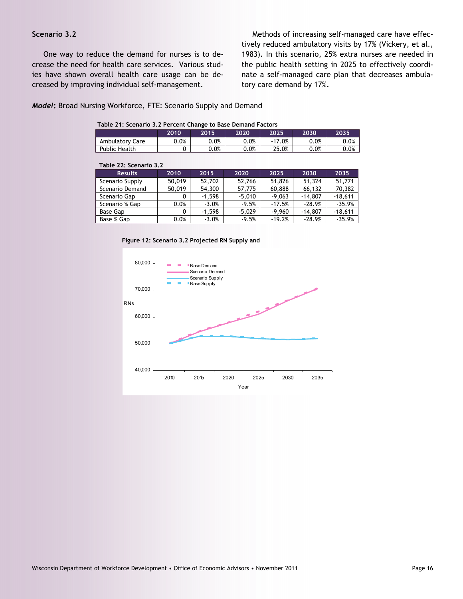# **Scenario 3.2**

 One way to reduce the demand for nurses is to decrease the need for health care services. Various studies have shown overall health care usage can be decreased by improving individual self-management.

Methods of increasing self-managed care have effectively reduced ambulatory visits by 17% (Vickery, et al., 1983). In this scenario, 25% extra nurses are needed in the public health setting in 2025 to effectively coordinate a self-managed care plan that decreases ambulatory care demand by 17%.

#### *Model***:** Broad Nursing Workforce, FTE: Scenario Supply and Demand

| Table 21: Scenario 3.2 Percent Change to Base Demand Factors |
|--------------------------------------------------------------|
|--------------------------------------------------------------|

|                 | 2010 | 2015 | 2020    | 2025   | 2030 | 2035 |
|-----------------|------|------|---------|--------|------|------|
| Ambulatory Care | 0.0% | 0.0% | 0.0%    | $.0\%$ | 0.0% | 0.0% |
| Public Health   |      | 0.0% | $0.0\%$ | 25.0%  | 0.0% | 0.0% |

| Table 22: Scenario 3.2 |        |          |          |          |           |           |  |  |
|------------------------|--------|----------|----------|----------|-----------|-----------|--|--|
| <b>Results</b>         | 2010   | 2015     | 2020     | 2025     | 2030      | 2035      |  |  |
| Scenario Supply        | 50,019 | 52,702   | 52,766   | 51,826   | 51,324    | 51.771    |  |  |
| Scenario Demand        | 50,019 | 54,300   | 57,775   | 60,888   | 66,132    | 70,382    |  |  |
| Scenario Gap           | 0      | $-1.598$ | $-5.010$ | $-9.063$ | $-14.807$ | $-18.611$ |  |  |
| Scenario % Gap         | 0.0%   | $-3.0%$  | $-9.5%$  | $-17.5%$ | $-28.9%$  | $-35.9%$  |  |  |
| Base Gap               | 0      | $-1.598$ | $-5.029$ | $-9.960$ | $-14,807$ | $-18,611$ |  |  |
| Base % Gap             | 0.0%   | $-3.0%$  | $-9.5%$  | $-19.2%$ | $-28.9%$  | $-35.9%$  |  |  |

**Figure 12: Scenario 3.2 Projected RN Supply and** 

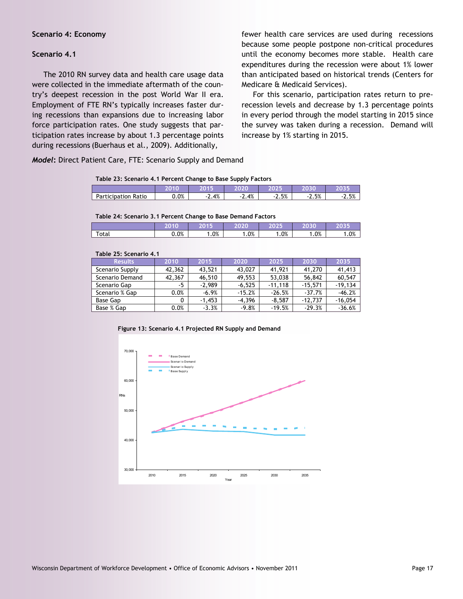#### **Scenario 4: Economy**

#### **Scenario 4.1**

 The 2010 RN survey data and health care usage data were collected in the immediate aftermath of the country's deepest recession in the post World War II era. Employment of FTE RN's typically increases faster during recessions than expansions due to increasing labor force participation rates. One study suggests that participation rates increase by about 1.3 percentage points during recessions (Buerhaus et al., 2009). Additionally,

*Model***:** Direct Patient Care, FTE: Scenario Supply and Demand

fewer health care services are used during recessions because some people postpone non-critical procedures until the economy becomes more stable. Health care expenditures during the recession were about 1% lower than anticipated based on historical trends (Centers for Medicare & Medicaid Services).

 For this scenario, participation rates return to prerecession levels and decrease by 1.3 percentage points in every period through the model starting in 2015 since the survey was taken during a recession. Demand will increase by 1% starting in 2015.

#### **Table 23: Scenario 4.1 Percent Change to Base Supply Factors**

|                            |         | 5044 | ,020 | גר מרי        | $\sim$<br>оv |               |
|----------------------------|---------|------|------|---------------|--------------|---------------|
| <b>Participation Ratio</b> | $0.0\%$ | 2.4% | 2.4% | $E^0$<br>2.3% | 2.5%<br>- 1  | E0/<br>L. J/0 |

#### **Table 24: Scenario 3.1 Percent Change to Base Demand Factors**

|                                                          | <b>The Company</b> |        | $\sim$ $\sim$ $\sim$ $\sim$<br>. . | . .<br>. .<br>- | ___<br><b><i>TAXAN</i></b><br>- | a v |
|----------------------------------------------------------|--------------------|--------|------------------------------------|-----------------|---------------------------------|-----|
| $\overline{\phantom{0}}$<br>$\sim$ to $\sim$<br>υια<br>ັ | 0.0%               | $.0\%$ | .0%                                | $.0\%$          | $0\%$                           | .0% |

#### **Table 25: Scenario 4.1**

| <b>Results</b>  | 2010   | 2015     | 2020     | 2025      | 2030      | 2035      |  |  |
|-----------------|--------|----------|----------|-----------|-----------|-----------|--|--|
| Scenario Supply | 42,362 | 43.521   | 43,027   | 41,921    | 41,270    | 41,413    |  |  |
| Scenario Demand | 42,367 | 46,510   | 49.553   | 53,038    | 56,842    | 60.547    |  |  |
| Scenario Gap    | -5     | $-2.989$ | $-6.525$ | $-11.118$ | $-15.571$ | $-19.134$ |  |  |
| Scenario % Gap  | 0.0%   | $-6.9%$  | $-15.2%$ | $-26.5%$  | $-37.7%$  | $-46.2%$  |  |  |
| Base Gap        |        | $-1.453$ | $-4.396$ | $-8.587$  | $-12.737$ | $-16,054$ |  |  |
| Base % Gap      | 0.0%   | $-3.3%$  | $-9.8%$  | $-19.5%$  | $-29.3%$  | $-36.6%$  |  |  |



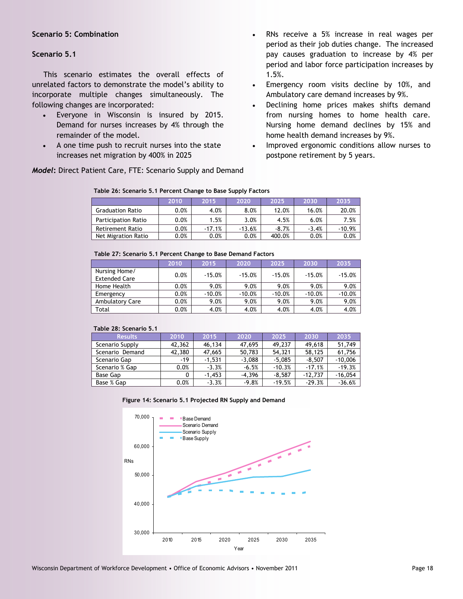# **Scenario 5: Combination**

# **Scenario 5.1**

 This scenario estimates the overall effects of unrelated factors to demonstrate the model's ability to incorporate multiple changes simultaneously. The following changes are incorporated:

- Everyone in Wisconsin is insured by 2015. Demand for nurses increases by 4% through the remainder of the model.
- A one time push to recruit nurses into the state increases net migration by 400% in 2025

*Model***:** Direct Patient Care, FTE: Scenario Supply and Demand

- RNs receive a 5% increase in real wages per period as their job duties change. The increased pay causes graduation to increase by 4% per period and labor force participation increases by 1.5%.
- Emergency room visits decline by 10%, and Ambulatory care demand increases by 9%.
- Declining home prices makes shifts demand from nursing homes to home health care. Nursing home demand declines by 15% and home health demand increases by 9%.
- Improved ergonomic conditions allow nurses to postpone retirement by 5 years.

| Table 26: Scenario 5.1 Percent Change to Base Supply Factors |
|--------------------------------------------------------------|
|--------------------------------------------------------------|

|                            | 2010    | 2015     | 2020     | 2025    | 2030    | 2035     |
|----------------------------|---------|----------|----------|---------|---------|----------|
| <b>Graduation Ratio</b>    | 0.0%    | 4.0%     | 8.0%     | 12.0%   | 16.0%   | 20.0%    |
| <b>Participation Ratio</b> | 0.0%    | 1.5%     | 3.0%     | 4.5%    | 6.0%    | 7.5%     |
| <b>Retirement Ratio</b>    | $0.0\%$ | $-17.1%$ | $-13.6%$ | $-8.7%$ | $-3.4%$ | $-10.9%$ |
| Net Migration Ratio        | $0.0\%$ | $0.0\%$  | $0.0\%$  | 400.0%  | 0.0%    | 0.0%     |

#### **Table 27: Scenario 5.1 Percent Change to Base Demand Factors**

|                                       | 2010 | 2015     | 2020     | 2025     | 2030     | 2035     |
|---------------------------------------|------|----------|----------|----------|----------|----------|
| Nursing Home/<br><b>Extended Care</b> | 0.0% | $-15.0%$ | $-15.0%$ | $-15.0%$ | $-15.0%$ | $-15.0%$ |
| Home Health                           | 0.0% | 9.0%     | 9.0%     | 9.0%     | 9.0%     | 9.0%     |
| Emergency                             | 0.0% | $-10.0%$ | $-10.0%$ | $-10.0%$ | $-10.0%$ | $-10.0%$ |
| Ambulatory Care                       | 0.0% | 9.0%     | 9.0%     | 9.0%     | 9.0%     | 9.0%     |
| Total                                 | 0.0% | 4.0%     | 4.0%     | 4.0%     | 4.0%     | 4.0%     |

#### **Table 28: Scenario 5.1**

| <b>Results</b>  | 2010   | 2015     | 2020     | 2025     | 2030      | 2035      |
|-----------------|--------|----------|----------|----------|-----------|-----------|
| Scenario Supply | 42,362 | 46,134   | 47,695   | 49.237   | 49.618    | 51.749    |
| Scenario Demand | 42,380 | 47,665   | 50,783   | 54.321   | 58.125    | 61,756    |
| Scenario Gap    | -19    | $-1.531$ | $-3.088$ | $-5.085$ | $-8.507$  | $-10,006$ |
| Scenario % Gap  | 0.0%   | $-3.3%$  | $-6.5%$  | $-10.3%$ | $-17.1%$  | $-19.3%$  |
| Base Gap        | 0      | $-1.453$ | $-4.396$ | $-8.587$ | $-12.737$ | $-16,054$ |
| Base % Gap      | 0.0%   | $-3.3%$  | $-9.8%$  | $-19.5%$ | $-29.3%$  | $-36.6%$  |

#### **Figure 14: Scenario 5.1 Projected RN Supply and Demand**

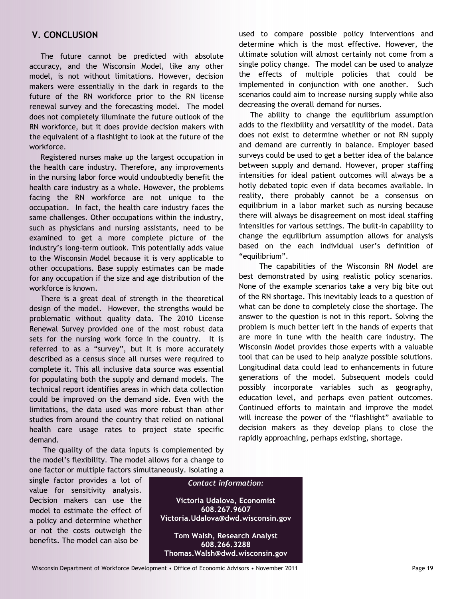# **V. CONCLUSION**

 The future cannot be predicted with absolute accuracy, and the Wisconsin Model, like any other model, is not without limitations. However, decision makers were essentially in the dark in regards to the future of the RN workforce prior to the RN license renewal survey and the forecasting model. The model does not completely illuminate the future outlook of the RN workforce, but it does provide decision makers with the equivalent of a flashlight to look at the future of the workforce.

 Registered nurses make up the largest occupation in the health care industry. Therefore, any improvements in the nursing labor force would undoubtedly benefit the health care industry as a whole. However, the problems facing the RN workforce are not unique to the occupation. In fact, the health care industry faces the same challenges. Other occupations within the industry, such as physicians and nursing assistants, need to be examined to get a more complete picture of the industry's long-term outlook. This potentially adds value to the Wisconsin Model because it is very applicable to other occupations. Base supply estimates can be made for any occupation if the size and age distribution of the workforce is known.

 There is a great deal of strength in the theoretical design of the model. However, the strengths would be problematic without quality data. The 2010 License Renewal Survey provided one of the most robust data sets for the nursing work force in the country. It is referred to as a "survey", but it is more accurately described as a census since all nurses were required to complete it. This all inclusive data source was essential for populating both the supply and demand models. The technical report identifies areas in which data collection could be improved on the demand side. Even with the limitations, the data used was more robust than other studies from around the country that relied on national health care usage rates to project state specific demand.

 The quality of the data inputs is complemented by the model's flexibility. The model allows for a change to one factor or multiple factors simultaneously. Isolating a

single factor provides a lot of value for sensitivity analysis. Decision makers can use the model to estimate the effect of a policy and determine whether or not the costs outweigh the benefits. The model can also be



used to compare possible policy interventions and determine which is the most effective. However, the ultimate solution will almost certainly not come from a single policy change. The model can be used to analyze the effects of multiple policies that could be implemented in conjunction with one another. Such scenarios could aim to increase nursing supply while also decreasing the overall demand for nurses.

 The ability to change the equilibrium assumption adds to the flexibility and versatility of the model. Data does not exist to determine whether or not RN supply and demand are currently in balance. Employer based surveys could be used to get a better idea of the balance between supply and demand. However, proper staffing intensities for ideal patient outcomes will always be a hotly debated topic even if data becomes available. In reality, there probably cannot be a consensus on equilibrium in a labor market such as nursing because there will always be disagreement on most ideal staffing intensities for various settings. The built-in capability to change the equilibrium assumption allows for analysis based on the each individual user's definition of "equilibrium".

 The capabilities of the Wisconsin RN Model are best demonstrated by using realistic policy scenarios. None of the example scenarios take a very big bite out of the RN shortage. This inevitably leads to a question of what can be done to completely close the shortage. The answer to the question is not in this report. Solving the problem is much better left in the hands of experts that are more in tune with the health care industry. The Wisconsin Model provides those experts with a valuable tool that can be used to help analyze possible solutions. Longitudinal data could lead to enhancements in future generations of the model. Subsequent models could possibly incorporate variables such as geography, education level, and perhaps even patient outcomes. Continued efforts to maintain and improve the model will increase the power of the "flashlight" available to decision makers as they develop plans to close the rapidly approaching, perhaps existing, shortage.